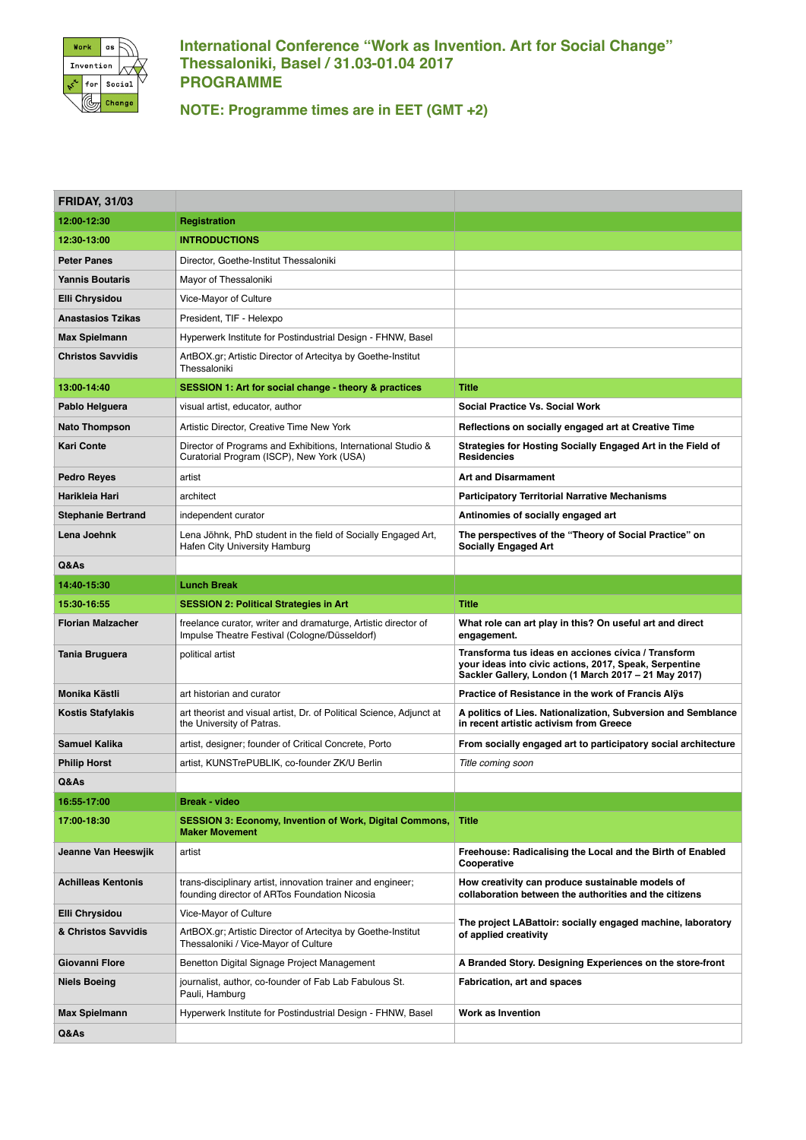

## **International Conference "Work as Invention. Art for Social Change" Thessaloniki, Basel / 31.03-01.04 2017 PROGRAMME**

**NOTE: Programme times are in EET (GMT +2)**

| <b>FRIDAY, 31/03</b>      |                                                                                                                 |                                                                                                                                                                       |
|---------------------------|-----------------------------------------------------------------------------------------------------------------|-----------------------------------------------------------------------------------------------------------------------------------------------------------------------|
| 12:00-12:30               | Registration                                                                                                    |                                                                                                                                                                       |
| 12:30-13:00               | <b>INTRODUCTIONS</b>                                                                                            |                                                                                                                                                                       |
| <b>Peter Panes</b>        | Director, Goethe-Institut Thessaloniki                                                                          |                                                                                                                                                                       |
| Yannis Boutaris           | Mayor of Thessaloniki                                                                                           |                                                                                                                                                                       |
| Elli Chrysidou            | Vice-Mayor of Culture                                                                                           |                                                                                                                                                                       |
| Anastasios Tzikas         | President, TIF - Helexpo                                                                                        |                                                                                                                                                                       |
| Max Spielmann             | Hyperwerk Institute for Postindustrial Design - FHNW, Basel                                                     |                                                                                                                                                                       |
| <b>Christos Savvidis</b>  | ArtBOX.gr; Artistic Director of Artecitya by Goethe-Institut<br>Thessaloniki                                    |                                                                                                                                                                       |
| 13:00-14:40               | <b>SESSION 1: Art for social change - theory &amp; practices</b>                                                | <b>Title</b>                                                                                                                                                          |
| Pablo Helguera            | visual artist, educator, author                                                                                 | <b>Social Practice Vs. Social Work</b>                                                                                                                                |
| <b>Nato Thompson</b>      | Artistic Director, Creative Time New York                                                                       | Reflections on socially engaged art at Creative Time                                                                                                                  |
| Kari Conte                | Director of Programs and Exhibitions, International Studio &<br>Curatorial Program (ISCP), New York (USA)       | Strategies for Hosting Socially Engaged Art in the Field of<br><b>Residencies</b>                                                                                     |
| <b>Pedro Reyes</b>        | artist                                                                                                          | <b>Art and Disarmament</b>                                                                                                                                            |
| Harikleia Hari            | architect                                                                                                       | <b>Participatory Territorial Narrative Mechanisms</b>                                                                                                                 |
| <b>Stephanie Bertrand</b> | independent curator                                                                                             | Antinomies of socially engaged art                                                                                                                                    |
| Lena Joehnk               | Lena Jöhnk, PhD student in the field of Socially Engaged Art,<br>Hafen City University Hamburg                  | The perspectives of the "Theory of Social Practice" on<br><b>Socially Engaged Art</b>                                                                                 |
| Q&As                      |                                                                                                                 |                                                                                                                                                                       |
| 14:40-15:30               | <b>Lunch Break</b>                                                                                              |                                                                                                                                                                       |
| 15:30-16:55               | <b>SESSION 2: Political Strategies in Art</b>                                                                   | <b>Title</b>                                                                                                                                                          |
| <b>Florian Malzacher</b>  | freelance curator, writer and dramaturge, Artistic director of<br>Impulse Theatre Festival (Cologne/Düsseldorf) | What role can art play in this? On useful art and direct<br>engagement.                                                                                               |
| Tania Bruguera            | political artist                                                                                                | Transforma tus ideas en acciones cívica / Transform<br>your ideas into civic actions, 2017, Speak, Serpentine<br>Sackler Gallery, London (1 March 2017 - 21 May 2017) |
| Monika Kästli             | art historian and curator                                                                                       | Practice of Resistance in the work of Francis Alys                                                                                                                    |
| Kostis Stafylakis         | art theorist and visual artist, Dr. of Political Science, Adjunct at<br>the University of Patras.               | A politics of Lies. Nationalization, Subversion and Semblance<br>in recent artistic activism from Greece                                                              |
| <b>Samuel Kalika</b>      | artist, designer; founder of Critical Concrete, Porto                                                           | From socially engaged art to participatory social architecture                                                                                                        |
| <b>Philip Horst</b>       | artist, KUNSTrePUBLIK, co-founder ZK/U Berlin                                                                   | Title coming soon                                                                                                                                                     |
| Q&As                      |                                                                                                                 |                                                                                                                                                                       |
| 16:55-17:00               | <b>Break - video</b>                                                                                            |                                                                                                                                                                       |
| 17:00-18:30               | SESSION 3: Economy, Invention of Work, Digital Commons, Title<br><b>Maker Movement</b>                          |                                                                                                                                                                       |
| Jeanne Van Heeswjik       | artist                                                                                                          | Freehouse: Radicalising the Local and the Birth of Enabled<br>Cooperative                                                                                             |
| <b>Achilleas Kentonis</b> | trans-disciplinary artist, innovation trainer and engineer;<br>founding director of ARTos Foundation Nicosia    | How creativity can produce sustainable models of<br>collaboration between the authorities and the citizens                                                            |
| Elli Chrysidou            | Vice-Mayor of Culture                                                                                           |                                                                                                                                                                       |
| & Christos Savvidis       | ArtBOX.gr; Artistic Director of Artecitya by Goethe-Institut<br>Thessaloniki / Vice-Mayor of Culture            | The project LABattoir: socially engaged machine, laboratory<br>of applied creativity                                                                                  |
| Giovanni Flore            | Benetton Digital Signage Project Management                                                                     | A Branded Story. Designing Experiences on the store-front                                                                                                             |
| <b>Niels Boeing</b>       | journalist, author, co-founder of Fab Lab Fabulous St.<br>Pauli, Hamburg                                        | Fabrication, art and spaces                                                                                                                                           |
| Max Spielmann             | Hyperwerk Institute for Postindustrial Design - FHNW, Basel                                                     | Work as Invention                                                                                                                                                     |
| Q&As                      |                                                                                                                 |                                                                                                                                                                       |